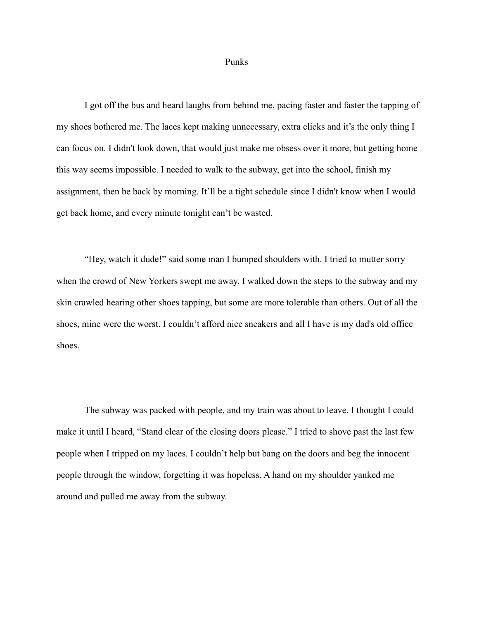## Punks

I got off the bus and heard laughs from behind me, pacing faster and faster the tapping of my shoes bothered me. The laces kept making unnecessary, extra clicks and it's the only thing I can focus on. I didn't look down, that would just make me obsess over it more, but getting home this way seems impossible. I needed to walk to the subway, get into the school, finish my assignment, then be back by morning. It'll be a tight schedule since I didn't know when I would get back home, and every minute tonight can't be wasted.

"Hey, watch it dude!" said some man I bumped shoulders with. I tried to mutter sorry when the crowd of New Yorkers swept me away. I walked down the steps to the subway and my skin crawled hearing other shoes tapping, but some are more tolerable than others. Out of all the shoes, mine were the worst. I couldn't afford nice sneakers and all I have is my dad's old office shoes.

The subway was packed with people, and my train was about to leave. I thought I could make it until I heard, "Stand clear of the closing doors please." I tried to shove past the last few people when I tripped on my laces. I couldn't help but bang on the doors and beg the innocent people through the window, forgetting it was hopeless. A hand on my shoulder yanked me around and pulled me away from the subway.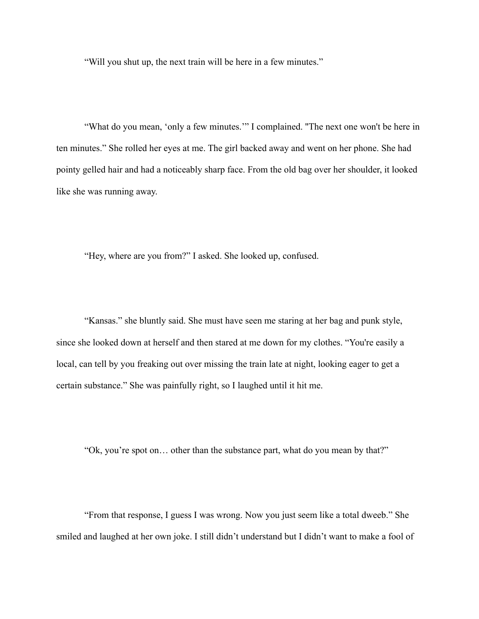"Will you shut up, the next train will be here in a few minutes."

"What do you mean, 'only a few minutes.'" I complained. ''The next one won't be here in ten minutes." She rolled her eyes at me. The girl backed away and went on her phone. She had pointy gelled hair and had a noticeably sharp face. From the old bag over her shoulder, it looked like she was running away.

"Hey, where are you from?" I asked. She looked up, confused.

"Kansas." she bluntly said. She must have seen me staring at her bag and punk style, since she looked down at herself and then stared at me down for my clothes. "You're easily a local, can tell by you freaking out over missing the train late at night, looking eager to get a certain substance." She was painfully right, so I laughed until it hit me.

"Ok, you're spot on… other than the substance part, what do you mean by that?"

"From that response, I guess I was wrong. Now you just seem like a total dweeb." She smiled and laughed at her own joke. I still didn't understand but I didn't want to make a fool of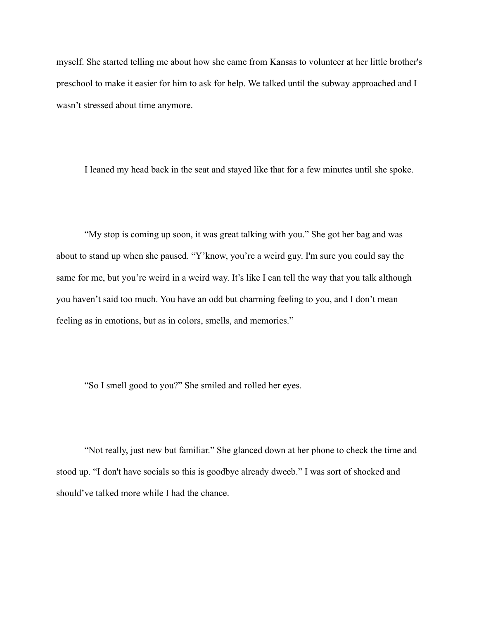myself. She started telling me about how she came from Kansas to volunteer at her little brother's preschool to make it easier for him to ask for help. We talked until the subway approached and I wasn't stressed about time anymore.

I leaned my head back in the seat and stayed like that for a few minutes until she spoke.

"My stop is coming up soon, it was great talking with you." She got her bag and was about to stand up when she paused. "Y'know, you're a weird guy. I'm sure you could say the same for me, but you're weird in a weird way. It's like I can tell the way that you talk although you haven't said too much. You have an odd but charming feeling to you, and I don't mean feeling as in emotions, but as in colors, smells, and memories."

"So I smell good to you?" She smiled and rolled her eyes.

"Not really, just new but familiar." She glanced down at her phone to check the time and stood up. "I don't have socials so this is goodbye already dweeb." I was sort of shocked and should've talked more while I had the chance.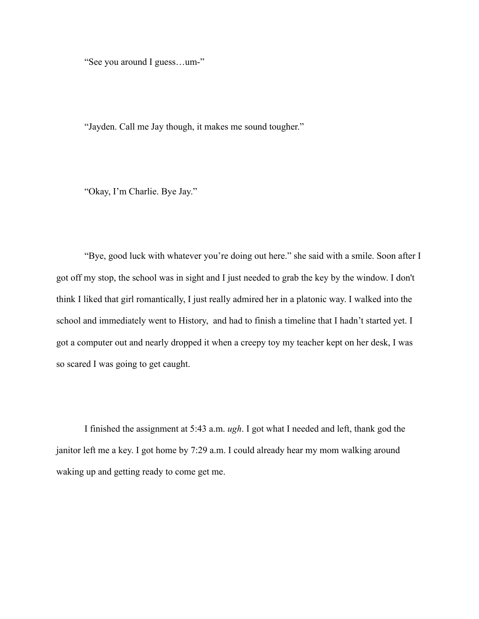"See you around I guess…um-"

"Jayden. Call me Jay though, it makes me sound tougher."

"Okay, I'm Charlie. Bye Jay."

"Bye, good luck with whatever you're doing out here." she said with a smile. Soon after I got off my stop, the school was in sight and I just needed to grab the key by the window. I don't think I liked that girl romantically, I just really admired her in a platonic way. I walked into the school and immediately went to History, and had to finish a timeline that I hadn't started yet. I got a computer out and nearly dropped it when a creepy toy my teacher kept on her desk, I was so scared I was going to get caught.

I finished the assignment at 5:43 a.m. *ugh*. I got what I needed and left, thank god the janitor left me a key. I got home by 7:29 a.m. I could already hear my mom walking around waking up and getting ready to come get me.